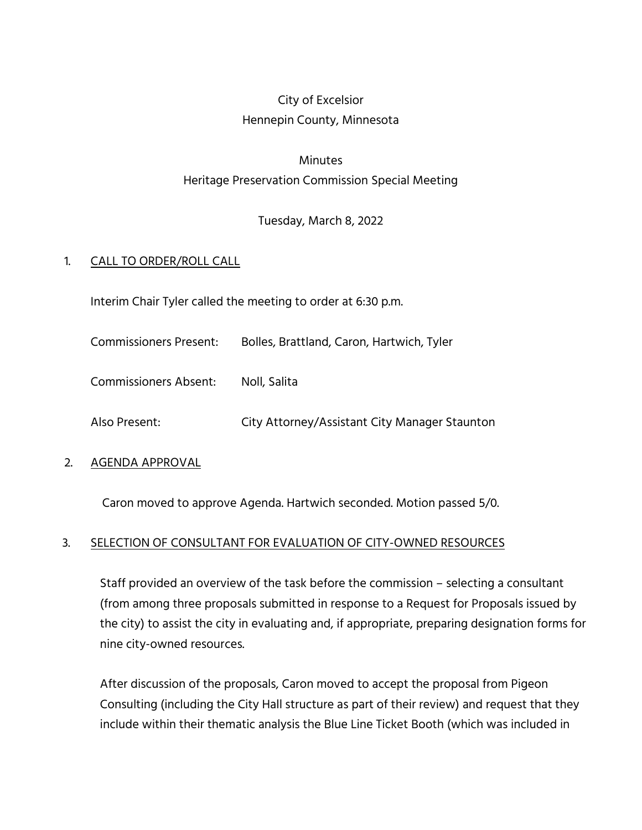## City of Excelsior Hennepin County, Minnesota

# Minutes Heritage Preservation Commission Special Meeting

Tuesday, March 8, 2022

### 1. CALL TO ORDER/ROLL CALL

Interim Chair Tyler called the meeting to order at 6:30 p.m.

Commissioners Present: Bolles, Brattland, Caron, Hartwich, Tyler

Commissioners Absent: Noll, Salita

Also Present: City Attorney/Assistant City Manager Staunton

#### 2. AGENDA APPROVAL

Caron moved to approve Agenda. Hartwich seconded. Motion passed 5/0.

#### 3. SELECTION OF CONSULTANT FOR EVALUATION OF CITY-OWNED RESOURCES

Staff provided an overview of the task before the commission – selecting a consultant (from among three proposals submitted in response to a Request for Proposals issued by the city) to assist the city in evaluating and, if appropriate, preparing designation forms for nine city-owned resources.

After discussion of the proposals, Caron moved to accept the proposal from Pigeon Consulting (including the City Hall structure as part of their review) and request that they include within their thematic analysis the Blue Line Ticket Booth (which was included in